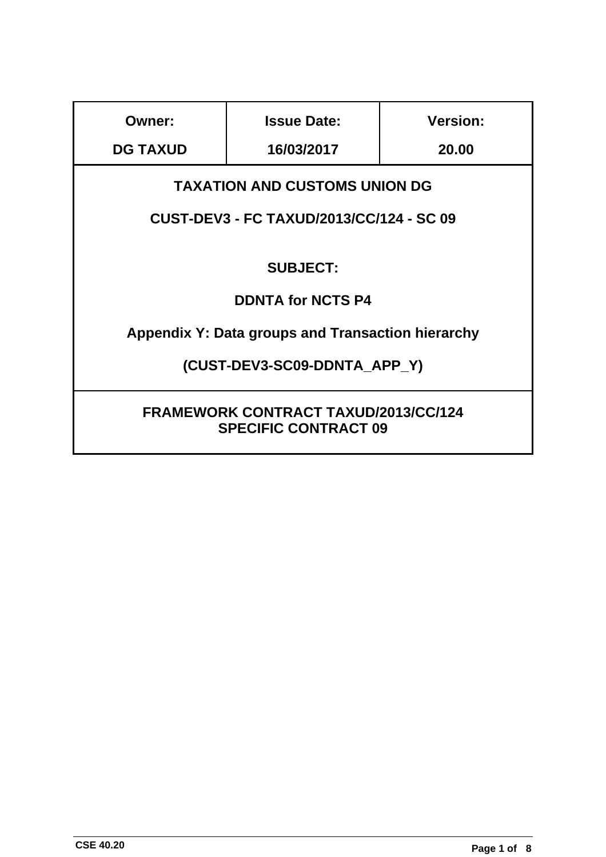| Owner:                                                                     | <b>Issue Date:</b> | <b>Version:</b> |
|----------------------------------------------------------------------------|--------------------|-----------------|
| <b>DG TAXUD</b>                                                            | 16/03/2017         | 20.00           |
| <b>TAXATION AND CUSTOMS UNION DG</b>                                       |                    |                 |
| <b>CUST-DEV3 - FC TAXUD/2013/CC/124 - SC 09</b>                            |                    |                 |
| <b>SUBJECT:</b>                                                            |                    |                 |
| <b>DDNTA for NCTS P4</b>                                                   |                    |                 |
| <b>Appendix Y: Data groups and Transaction hierarchy</b>                   |                    |                 |
| (CUST-DEV3-SC09-DDNTA APP Y)                                               |                    |                 |
| <b>FRAMEWORK CONTRACT TAXUD/2013/CC/124</b><br><b>SPECIFIC CONTRACT 09</b> |                    |                 |

ı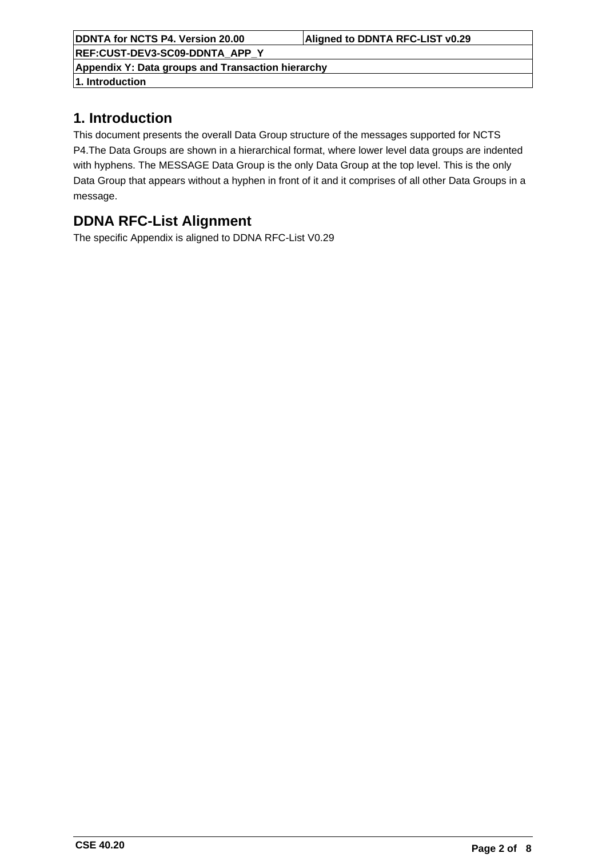**REF:CUST-DEV3-SC09-DDNTA\_APP\_Y**

**Appendix Y: Data groups and Transaction hierarchy**

**1. Introduction**

## **1. Introduction**

This document presents the overall Data Group structure of the messages supported for NCTS P4.The Data Groups are shown in a hierarchical format, where lower level data groups are indented with hyphens. The MESSAGE Data Group is the only Data Group at the top level. This is the only Data Group that appears without a hyphen in front of it and it comprises of all other Data Groups in a message.

# **DDNA RFC-List Alignment**

The specific Appendix is aligned to DDNA RFC-List V0.29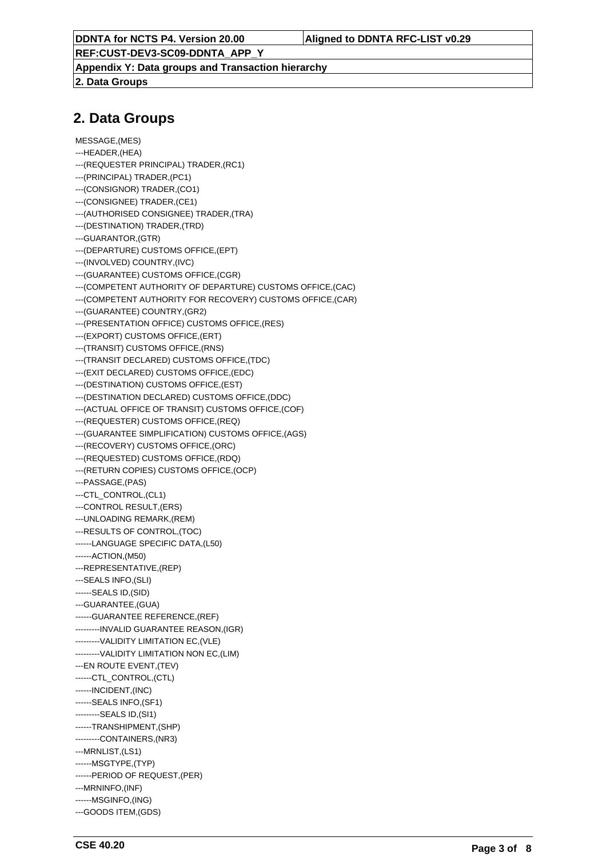**REF:CUST-DEV3-SC09-DDNTA\_APP\_Y**

**Appendix Y: Data groups and Transaction hierarchy**

**2. Data Groups**

## **2. Data Groups**

- MESSAGE,(MES)
- ---HEADER,(HEA)
- ---(REQUESTER PRINCIPAL) TRADER,(RC1)
- ---(PRINCIPAL) TRADER,(PC1)
- ---(CONSIGNOR) TRADER,(CO1)
- ---(CONSIGNEE) TRADER,(CE1)
- ---(AUTHORISED CONSIGNEE) TRADER,(TRA)
- ---(DESTINATION) TRADER,(TRD)
- ---GUARANTOR,(GTR)
- ---(DEPARTURE) CUSTOMS OFFICE,(EPT)
- ---(INVOLVED) COUNTRY,(IVC)
- ---(GUARANTEE) CUSTOMS OFFICE,(CGR)
- ---(COMPETENT AUTHORITY OF DEPARTURE) CUSTOMS OFFICE,(CAC)
- ---(COMPETENT AUTHORITY FOR RECOVERY) CUSTOMS OFFICE,(CAR)
- ---(GUARANTEE) COUNTRY,(GR2)
- ---(PRESENTATION OFFICE) CUSTOMS OFFICE,(RES)
- ---(EXPORT) CUSTOMS OFFICE,(ERT)
- ---(TRANSIT) CUSTOMS OFFICE,(RNS)
- ---(TRANSIT DECLARED) CUSTOMS OFFICE,(TDC)
- ---(EXIT DECLARED) CUSTOMS OFFICE,(EDC)
- ---(DESTINATION) CUSTOMS OFFICE,(EST)
- ---(DESTINATION DECLARED) CUSTOMS OFFICE,(DDC)
- ---(ACTUAL OFFICE OF TRANSIT) CUSTOMS OFFICE,(COF)
- ---(REQUESTER) CUSTOMS OFFICE,(REQ)
- ---(GUARANTEE SIMPLIFICATION) CUSTOMS OFFICE,(AGS)
- ---(RECOVERY) CUSTOMS OFFICE,(ORC)
- ---(REQUESTED) CUSTOMS OFFICE,(RDQ)
- ---(RETURN COPIES) CUSTOMS OFFICE,(OCP)
- ---PASSAGE,(PAS)
- ---CTL\_CONTROL,(CL1)
- ---CONTROL RESULT,(ERS)
- ---UNLOADING REMARK,(REM)
- ---RESULTS OF CONTROL,(TOC)
- ------LANGUAGE SPECIFIC DATA,(L50)
- ------ACTION,(M50)
- ---REPRESENTATIVE,(REP)
- ---SEALS INFO,(SLI)
- ------SEALS ID,(SID)
- ---GUARANTEE,(GUA)
- ------GUARANTEE REFERENCE,(REF)
- ---------INVALID GUARANTEE REASON,(IGR)
- ---------VALIDITY LIMITATION EC,(VLE)
- ---------VALIDITY LIMITATION NON EC,(LIM)
- ---EN ROUTE EVENT,(TEV)
- ------CTL\_CONTROL.(CTL)
- ------INCIDENT,(INC)
- ------SEALS INFO,(SF1)
- ---------SEALS ID,(SI1)
- ------TRANSHIPMENT,(SHP)
- ---------CONTAINERS,(NR3) ---MRNLIST,(LS1)
- ------MSGTYPE,(TYP)
- ------PERIOD OF REQUEST,(PER)
- ---MRNINFO,(INF)
- ------MSGINFO,(ING)
- ---GOODS ITEM,(GDS)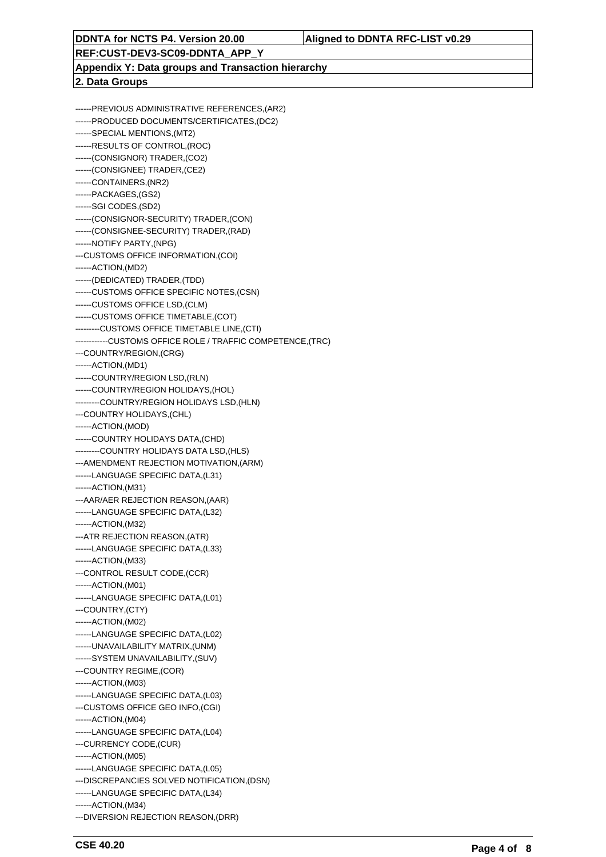**REF:CUST-DEV3-SC09-DDNTA\_APP\_Y**

**Appendix Y: Data groups and Transaction hierarchy**

#### **2. Data Groups**

------PREVIOUS ADMINISTRATIVE REFERENCES,(AR2) ------PRODUCED DOCUMENTS/CERTIFICATES,(DC2) ------SPECIAL MENTIONS,(MT2) ------RESULTS OF CONTROL,(ROC) ------(CONSIGNOR) TRADER,(CO2) ------(CONSIGNEE) TRADER,(CE2) ------CONTAINERS,(NR2) ------PACKAGES,(GS2) ------SGI CODES,(SD2) ------(CONSIGNOR-SECURITY) TRADER,(CON) ------(CONSIGNEE-SECURITY) TRADER,(RAD) ------NOTIFY PARTY,(NPG) ---CUSTOMS OFFICE INFORMATION,(COI) ------ACTION,(MD2) ------(DEDICATED) TRADER,(TDD) ------CUSTOMS OFFICE SPECIFIC NOTES,(CSN) ------CUSTOMS OFFICE LSD,(CLM) ------CUSTOMS OFFICE TIMETABLE,(COT) ---------CUSTOMS OFFICE TIMETABLE LINE,(CTI) ------------CUSTOMS OFFICE ROLE / TRAFFIC COMPETENCE,(TRC) ---COUNTRY/REGION,(CRG) ------ACTION,(MD1) ------COUNTRY/REGION LSD,(RLN) ------COUNTRY/REGION HOLIDAYS,(HOL) ---------COUNTRY/REGION HOLIDAYS LSD,(HLN) ---COUNTRY HOLIDAYS,(CHL) ------ACTION,(MOD) ------COUNTRY HOLIDAYS DATA,(CHD) ---------COUNTRY HOLIDAYS DATA LSD,(HLS) ---AMENDMENT REJECTION MOTIVATION,(ARM) ------LANGUAGE SPECIFIC DATA,(L31) ------ACTION,(M31) ---AAR/AER REJECTION REASON,(AAR) ------LANGUAGE SPECIFIC DATA,(L32) ------ACTION,(M32) ---ATR REJECTION REASON,(ATR) ------LANGUAGE SPECIFIC DATA,(L33) ------ACTION,(M33) ---CONTROL RESULT CODE,(CCR) ------ACTION,(M01) ------LANGUAGE SPECIFIC DATA,(L01) ---COUNTRY,(CTY) ------ACTION,(M02) ------LANGUAGE SPECIFIC DATA,(L02) ------UNAVAILABILITY MATRIX,(UNM) ------SYSTEM UNAVAILABILITY,(SUV) ---COUNTRY REGIME,(COR) ------ACTION,(M03) ------LANGUAGE SPECIFIC DATA,(L03) ---CUSTOMS OFFICE GEO INFO,(CGI) ------ACTION,(M04) ------LANGUAGE SPECIFIC DATA,(L04) ---CURRENCY CODE,(CUR) ------ACTION,(M05) ------LANGUAGE SPECIFIC DATA,(L05) ---DISCREPANCIES SOLVED NOTIFICATION,(DSN) ------LANGUAGE SPECIFIC DATA,(L34) ------ACTION,(M34) ---DIVERSION REJECTION REASON,(DRR)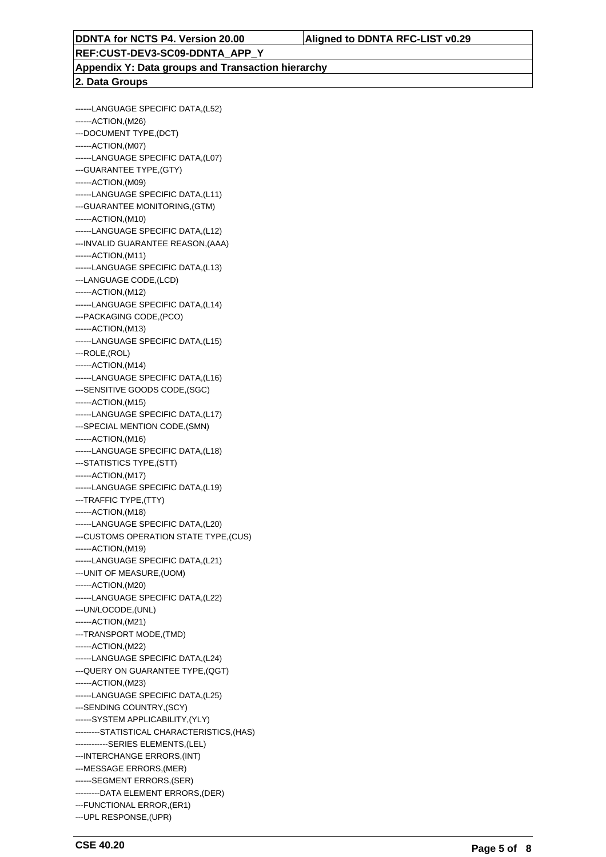**REF:CUST-DEV3-SC09-DDNTA\_APP\_Y**

#### **Appendix Y: Data groups and Transaction hierarchy 2. Data Groups**

------LANGUAGE SPECIFIC DATA,(L52) ------ACTION,(M26) ---DOCUMENT TYPE,(DCT) ------ACTION,(M07) ------LANGUAGE SPECIFIC DATA,(L07) ---GUARANTEE TYPE,(GTY) ------ACTION,(M09) ------LANGUAGE SPECIFIC DATA,(L11) ---GUARANTEE MONITORING,(GTM) ------ACTION,(M10) ------LANGUAGE SPECIFIC DATA,(L12) ---INVALID GUARANTEE REASON,(AAA) ------ACTION,(M11) ------LANGUAGE SPECIFIC DATA,(L13) ---LANGUAGE CODE,(LCD) ------ACTION,(M12) ------LANGUAGE SPECIFIC DATA,(L14) ---PACKAGING CODE,(PCO) ------ACTION,(M13) ------LANGUAGE SPECIFIC DATA,(L15) ---ROLE,(ROL) ------ACTION,(M14) ------LANGUAGE SPECIFIC DATA,(L16) ---SENSITIVE GOODS CODE,(SGC) ------ACTION,(M15) ------LANGUAGE SPECIFIC DATA,(L17) ---SPECIAL MENTION CODE,(SMN) ------ACTION,(M16) ------LANGUAGE SPECIFIC DATA,(L18) ---STATISTICS TYPE,(STT) ------ACTION,(M17) ------LANGUAGE SPECIFIC DATA,(L19) ---TRAFFIC TYPE,(TTY) ------ACTION,(M18) ------LANGUAGE SPECIFIC DATA,(L20) ---CUSTOMS OPERATION STATE TYPE,(CUS) ------ACTION,(M19) ------LANGUAGE SPECIFIC DATA,(L21) ---UNIT OF MEASURE,(UOM) ------ACTION,(M20) ------LANGUAGE SPECIFIC DATA,(L22) ---UN/LOCODE,(UNL) ------ACTION,(M21) ---TRANSPORT MODE,(TMD) ------ACTION,(M22) ------LANGUAGE SPECIFIC DATA,(L24) ---QUERY ON GUARANTEE TYPE,(QGT) ------ACTION,(M23) ------LANGUAGE SPECIFIC DATA,(L25) ---SENDING COUNTRY,(SCY) ------SYSTEM APPLICABILITY,(YLY) ---------STATISTICAL CHARACTERISTICS,(HAS) ------------SERIES ELEMENTS,(LEL) ---INTERCHANGE ERRORS,(INT) ---MESSAGE ERRORS,(MER) ------SEGMENT ERRORS,(SER) ---------DATA ELEMENT ERRORS,(DER) ---FUNCTIONAL ERROR,(ER1) ---UPL RESPONSE,(UPR)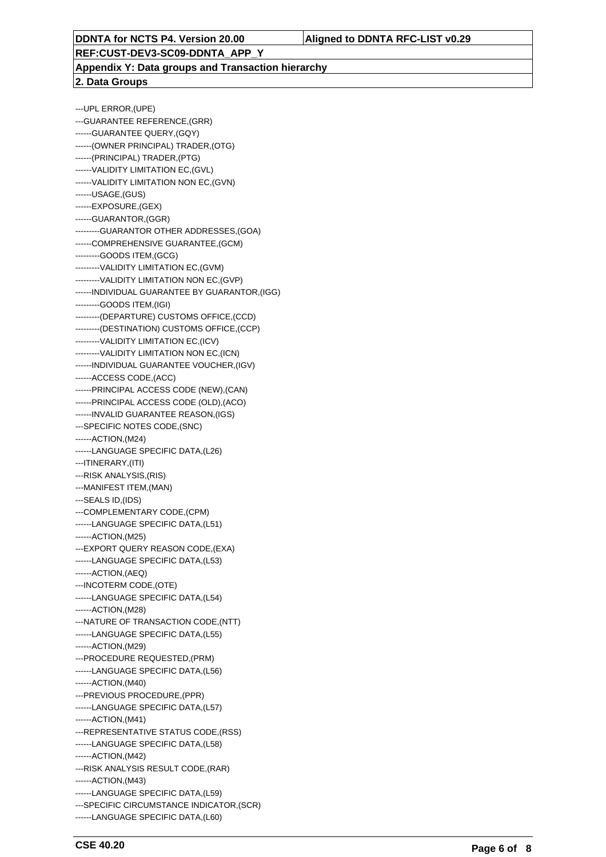**REF:CUST-DEV3-SC09-DDNTA\_APP\_Y**

**Appendix Y: Data groups and Transaction hierarchy 2. Data Groups**

---UPL ERROR,(UPE) ---GUARANTEE REFERENCE,(GRR) ------GUARANTEE QUERY,(GQY) ------(OWNER PRINCIPAL) TRADER,(OTG) ------(PRINCIPAL) TRADER,(PTG) ------VALIDITY LIMITATION EC,(GVL) ------VALIDITY LIMITATION NON EC,(GVN) ------USAGE,(GUS) ------EXPOSURE,(GEX) ------GUARANTOR,(GGR) ---------GUARANTOR OTHER ADDRESSES,(GOA) ------COMPREHENSIVE GUARANTEE,(GCM) ---------GOODS ITEM,(GCG) ---------VALIDITY LIMITATION EC,(GVM) ---------VALIDITY LIMITATION NON EC,(GVP) ------INDIVIDUAL GUARANTEE BY GUARANTOR,(IGG) ---------GOODS ITEM,(IGI) ---------(DEPARTURE) CUSTOMS OFFICE,(CCD) ---------(DESTINATION) CUSTOMS OFFICE,(CCP) ---------VALIDITY LIMITATION EC,(ICV) ---------VALIDITY LIMITATION NON EC,(ICN) ------INDIVIDUAL GUARANTEE VOUCHER,(IGV) ------ACCESS CODE,(ACC) ------PRINCIPAL ACCESS CODE (NEW),(CAN) ------PRINCIPAL ACCESS CODE (OLD),(ACO) ------INVALID GUARANTEE REASON,(IGS) ---SPECIFIC NOTES CODE,(SNC) ------ACTION,(M24) ------LANGUAGE SPECIFIC DATA,(L26) ---ITINERARY,(ITI) ---RISK ANALYSIS,(RIS) ---MANIFEST ITEM,(MAN) ---SEALS ID,(IDS) ---COMPLEMENTARY CODE,(CPM) ------LANGUAGE SPECIFIC DATA,(L51) ------ACTION,(M25) ---EXPORT QUERY REASON CODE,(EXA) ------LANGUAGE SPECIFIC DATA,(L53) ------ACTION,(AEQ) ---INCOTERM CODE,(OTE) ------LANGUAGE SPECIFIC DATA,(L54) ------ACTION,(M28) ---NATURE OF TRANSACTION CODE,(NTT) ------LANGUAGE SPECIFIC DATA,(L55) ------ACTION,(M29) ---PROCEDURE REQUESTED,(PRM) ------LANGUAGE SPECIFIC DATA,(L56) ------ACTION,(M40) ---PREVIOUS PROCEDURE,(PPR) ------LANGUAGE SPECIFIC DATA,(L57) ------ACTION,(M41) ---REPRESENTATIVE STATUS CODE,(RSS) ------LANGUAGE SPECIFIC DATA,(L58) ------ACTION,(M42) ---RISK ANALYSIS RESULT CODE,(RAR) ------ACTION,(M43) ------LANGUAGE SPECIFIC DATA,(L59) ---SPECIFIC CIRCUMSTANCE INDICATOR,(SCR) ------LANGUAGE SPECIFIC DATA,(L60)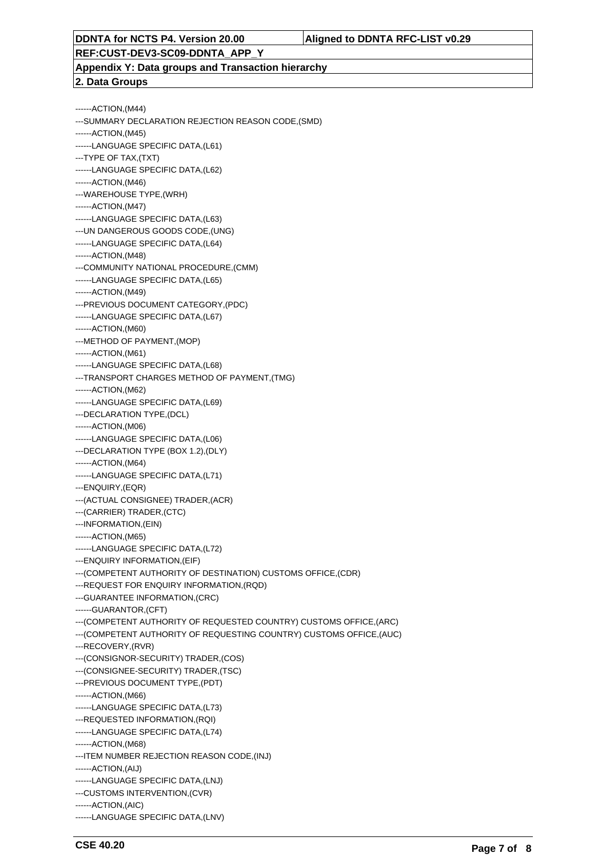**REF:CUST-DEV3-SC09-DDNTA\_APP\_Y**

**Appendix Y: Data groups and Transaction hierarchy 2. Data Groups**

#### ------ACTION,(M44) ---SUMMARY DECLARATION REJECTION REASON CODE,(SMD) ------ACTION,(M45) ------LANGUAGE SPECIFIC DATA,(L61) ---TYPE OF TAX,(TXT) ------LANGUAGE SPECIFIC DATA,(L62) ------ACTION,(M46) ---WAREHOUSE TYPE,(WRH) ------ACTION,(M47) ------LANGUAGE SPECIFIC DATA,(L63) ---UN DANGEROUS GOODS CODE,(UNG) ------LANGUAGE SPECIFIC DATA,(L64) ------ACTION,(M48) ---COMMUNITY NATIONAL PROCEDURE,(CMM) ------LANGUAGE SPECIFIC DATA,(L65) ------ACTION,(M49) ---PREVIOUS DOCUMENT CATEGORY,(PDC) ------LANGUAGE SPECIFIC DATA,(L67) ------ACTION,(M60) ---METHOD OF PAYMENT,(MOP) ------ACTION,(M61) ------LANGUAGE SPECIFIC DATA,(L68) ---TRANSPORT CHARGES METHOD OF PAYMENT,(TMG) ------ACTION,(M62) ------LANGUAGE SPECIFIC DATA,(L69) ---DECLARATION TYPE,(DCL) ------ACTION,(M06) ------LANGUAGE SPECIFIC DATA,(L06) ---DECLARATION TYPE (BOX 1.2),(DLY) ------ACTION,(M64) ------LANGUAGE SPECIFIC DATA,(L71) ---ENQUIRY,(EQR) ---(ACTUAL CONSIGNEE) TRADER,(ACR) ---(CARRIER) TRADER,(CTC) ---INFORMATION,(EIN) ------ACTION,(M65) ------LANGUAGE SPECIFIC DATA,(L72) ---ENQUIRY INFORMATION,(EIF) ---(COMPETENT AUTHORITY OF DESTINATION) CUSTOMS OFFICE,(CDR) ---REQUEST FOR ENQUIRY INFORMATION,(RQD) ---GUARANTEE INFORMATION,(CRC) ------GUARANTOR,(CFT) ---(COMPETENT AUTHORITY OF REQUESTED COUNTRY) CUSTOMS OFFICE,(ARC) ---(COMPETENT AUTHORITY OF REQUESTING COUNTRY) CUSTOMS OFFICE,(AUC) ---RECOVERY,(RVR) ---(CONSIGNOR-SECURITY) TRADER,(COS) ---(CONSIGNEE-SECURITY) TRADER,(TSC) ---PREVIOUS DOCUMENT TYPE,(PDT) ------ACTION,(M66) ------LANGUAGE SPECIFIC DATA,(L73) ---REQUESTED INFORMATION,(RQI) ------LANGUAGE SPECIFIC DATA,(L74) ------ACTION,(M68) ---ITEM NUMBER REJECTION REASON CODE,(INJ) ------ACTION,(AIJ) ------LANGUAGE SPECIFIC DATA,(LNJ) ---CUSTOMS INTERVENTION,(CVR) ------ACTION,(AIC) ------LANGUAGE SPECIFIC DATA,(LNV)